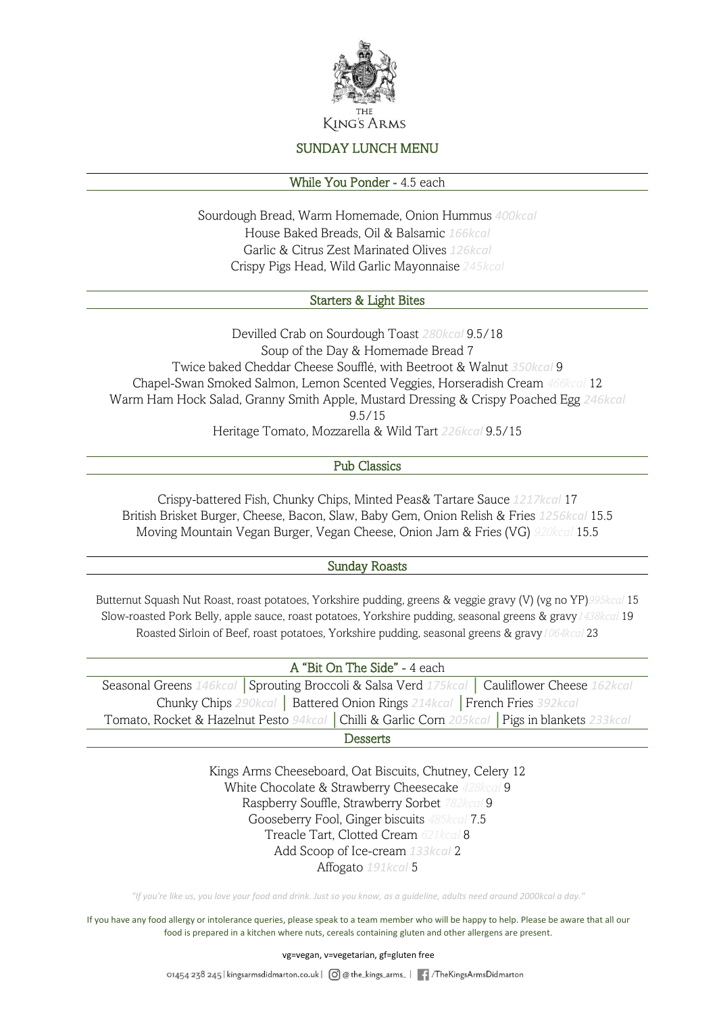

# SUNDAY LUNCH MENU

### While You Ponder - 4.5 each

Sourdough Bread, Warm Homemade, Onion Hummus *400kcal* House Baked Breads, Oil & Balsamic *166kcal* Garlic & Citrus Zest Marinated Olives *126kcal* Crispy Pigs Head, Wild Garlic Mayonnaise *245kcal*

## Starters & Light Bites

Devilled Crab on Sourdough Toast *280kcal* 9.5/18 Soup of the Day & Homemade Bread 7 Twice baked Cheddar Cheese Soufflé, with Beetroot & Walnut *350kcal* 9 Chapel-Swan Smoked Salmon, Lemon Scented Veggies, Horseradish Cream *466kcal* 12 Warm Ham Hock Salad, Granny Smith Apple, Mustard Dressing & Crispy Poached Egg *246kcal*  9.5/15 Heritage Tomato, Mozzarella & Wild Tart *226kcal* 9.5/15

### Pub Classics

Crispy-battered Fish, Chunky Chips, Minted Peas& Tartare Sauce *1217kcal* 17 British Brisket Burger, Cheese, Bacon, Slaw, Baby Gem, Onion Relish & Fries *1256kcal* 15.5 Moving Mountain Vegan Burger, Vegan Cheese, Onion Jam & Fries (VG) *920kcal* 15.5

### Sunday Roasts

Butternut Squash Nut Roast, roast potatoes, Yorkshire pudding, greens & veggie gravy (V) (vg no YP)*995kcal* 15 Slow-roasted Pork Belly, apple sauce, roast potatoes, Yorkshire pudding, seasonal greens & gravy*1438kcal* 19 Roasted Sirloin of Beef, roast potatoes, Yorkshire pudding, seasonal greens & gravy*1064kcal* 23

| A "Bit On The Side" - 4 each                                                                     |
|--------------------------------------------------------------------------------------------------|
| Seasonal Greens 146kcal Sprouting Broccoli & Salsa Verd 175kcal   Cauliflower Cheese 162kcal     |
| Chunky Chips 290kcal   Battered Onion Rings 214kcal   French Fries 392kcal                       |
| Tomato, Rocket & Hazelnut Pesto 94kcal   Chilli & Garlic Corn 205kcal   Pigs in blankets 233kcal |
|                                                                                                  |

Desserts

Kings Arms Cheeseboard, Oat Biscuits, Chutney, Celery 12 White Chocolate & Strawberry Cheesecake *428kcal* 9 Raspberry Souffle, Strawberry Sorbet *782kcal* 9 Gooseberry Fool, Ginger biscuits *485kcal* 7.5 Treacle Tart, Clotted Cream *621kcal* 8 Add Scoop of Ice-cream *133kcal* 2 Affogato *191kcal* 5

*"If you're like us, you love your food and drink. Just so you know, as a guideline, adults need around 2000kcal a day."*

If you have any food allergy or intolerance queries, please speak to a team member who will be happy to help. Please be aware that all our food is prepared in a kitchen where nuts, cereals containing gluten and other allergens are present.

vg=vegan, v=vegetarian, gf=gluten free